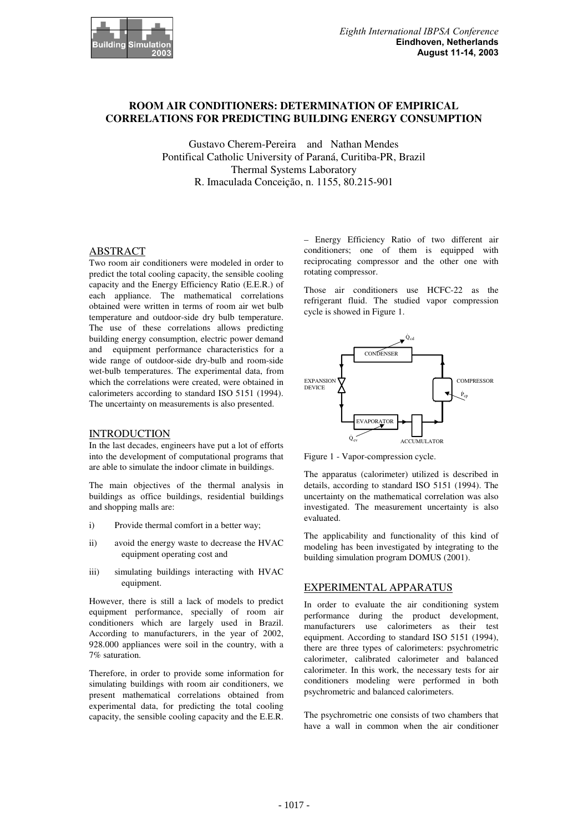

# **ROOM AIR CONDITIONERS: DETERMINATION OF EMPIRICAL CORRELATIONS FOR PREDICTING BUILDING ENERGY CONSUMPTION**

Gustavo Cherem-Pereira and Nathan Mendes Pontifical Catholic University of Paraná, Curitiba-PR, Brazil Thermal Systems Laboratory R. Imaculada Conceição, n. 1155, 80.215-901

## ABSTRACT

Two room air conditioners were modeled in order to predict the total cooling capacity, the sensible cooling capacity and the Energy Efficiency Ratio (E.E.R.) of each appliance. The mathematical correlations obtained were written in terms of room air wet bulb temperature and outdoor-side dry bulb temperature. The use of these correlations allows predicting building energy consumption, electric power demand and equipment performance characteristics for a wide range of outdoor-side dry-bulb and room-side wet-bulb temperatures. The experimental data, from which the correlations were created, were obtained in calorimeters according to standard ISO 5151 (1994). The uncertainty on measurements is also presented.

## INTRODUCTION

In the last decades, engineers have put a lot of efforts into the development of computational programs that are able to simulate the indoor climate in buildings.

The main objectives of the thermal analysis in buildings as office buildings, residential buildings and shopping malls are:

- i) Provide thermal comfort in a better way;
- ii) avoid the energy waste to decrease the HVAC equipment operating cost and
- iii) simulating buildings interacting with HVAC equipment.

However, there is still a lack of models to predict equipment performance, specially of room air conditioners which are largely used in Brazil. According to manufacturers, in the year of 2002, 928.000 appliances were soil in the country, with a 7% saturation.

Therefore, in order to provide some information for simulating buildings with room air conditioners, we present mathematical correlations obtained from experimental data, for predicting the total cooling capacity, the sensible cooling capacity and the E.E.R.

– Energy Efficiency Ratio of two different air conditioners; one of them is equipped with reciprocating compressor and the other one with rotating compressor.

Those air conditioners use HCFC-22 as the refrigerant fluid. The studied vapor compression cycle is showed in Figure 1.



Figure 1 - Vapor-compression cycle.

The apparatus (calorimeter) utilized is described in details, according to standard ISO 5151 (1994). The uncertainty on the mathematical correlation was also investigated. The measurement uncertainty is also evaluated.

The applicability and functionality of this kind of modeling has been investigated by integrating to the building simulation program DOMUS (2001).

### EXPERIMENTAL APPARATUS

In order to evaluate the air conditioning system performance during the product development, manufacturers use calorimeters as their test equipment. According to standard ISO 5151 (1994), there are three types of calorimeters: psychrometric calorimeter, calibrated calorimeter and balanced calorimeter. In this work, the necessary tests for air conditioners modeling were performed in both psychrometric and balanced calorimeters.

The psychrometric one consists of two chambers that have a wall in common when the air conditioner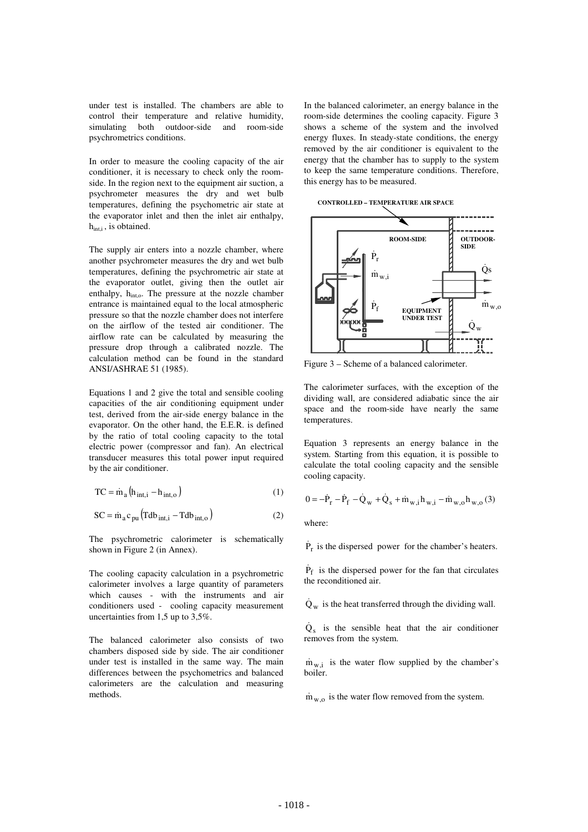under test is installed. The chambers are able to control their temperature and relative humidity, simulating both outdoor-side and room-side psychrometrics conditions.

In order to measure the cooling capacity of the air conditioner, it is necessary to check only the roomside. In the region next to the equipment air suction, a psychrometer measures the dry and wet bulb temperatures, defining the psychometric air state at the evaporator inlet and then the inlet air enthalpy, h<sub>int,i</sub>, is obtained.

The supply air enters into a nozzle chamber, where another psychrometer measures the dry and wet bulb temperatures, defining the psychrometric air state at the evaporator outlet, giving then the outlet air enthalpy, h<sub>into</sub>. The pressure at the nozzle chamber entrance is maintained equal to the local atmospheric pressure so that the nozzle chamber does not interfere on the airflow of the tested air conditioner. The airflow rate can be calculated by measuring the pressure drop through a calibrated nozzle. The calculation method can be found in the standard ANSI/ASHRAE 51 (1985).

Equations 1 and 2 give the total and sensible cooling capacities of the air conditioning equipment under test, derived from the air-side energy balance in the evaporator. On the other hand, the E.E.R. is defined by the ratio of total cooling capacity to the total electric power (compressor and fan). An electrical transducer measures this total power input required by the air conditioner.

$$
TC = \dot{m}_a \left( h_{int,i} - h_{int,o} \right) \tag{1}
$$

$$
SC = \dot{m}_a c_{pu} \left( Tdb_{int,i} - Tdb_{int,o} \right)
$$
 (2)

The psychrometric calorimeter is schematically shown in Figure 2 (in Annex).

The cooling capacity calculation in a psychrometric calorimeter involves a large quantity of parameters which causes - with the instruments and air conditioners used - cooling capacity measurement uncertainties from 1,5 up to 3,5%.

The balanced calorimeter also consists of two chambers disposed side by side. The air conditioner under test is installed in the same way. The main differences between the psychometrics and balanced calorimeters are the calculation and measuring methods.

In the balanced calorimeter, an energy balance in the room-side determines the cooling capacity. Figure 3 shows a scheme of the system and the involved energy fluxes. In steady-state conditions, the energy removed by the air conditioner is equivalent to the energy that the chamber has to supply to the system to keep the same temperature conditions. Therefore, this energy has to be measured.

**CONTROLLED – TEMPERATURE AIR SPACE**



Figure 3 – Scheme of a balanced calorimeter.

The calorimeter surfaces, with the exception of the dividing wall, are considered adiabatic since the air space and the room-side have nearly the same temperatures.

Equation 3 represents an energy balance in the system. Starting from this equation, it is possible to calculate the total cooling capacity and the sensible cooling capacity.

$$
0 = -\dot{P}_{r} - \dot{P}_{f} - \dot{Q}_{w} + \dot{Q}_{s} + \dot{m}_{w,i}h_{w,i} - \dot{m}_{w,o}h_{w,o}(3)
$$

where:

 $\dot{P}_r$  is the dispersed power for the chamber's heaters.

 $\dot{P}_{f}$  is the dispersed power for the fan that circulates the reconditioned air.

 $\dot{Q}_w$  is the heat transferred through the dividing wall.

 $\dot{Q}_s$  is the sensible heat that the air conditioner removes from the system.

 $\dot{m}_{w,i}$  is the water flow supplied by the chamber's boiler.

 $\dot{m}_{w,o}$  is the water flow removed from the system.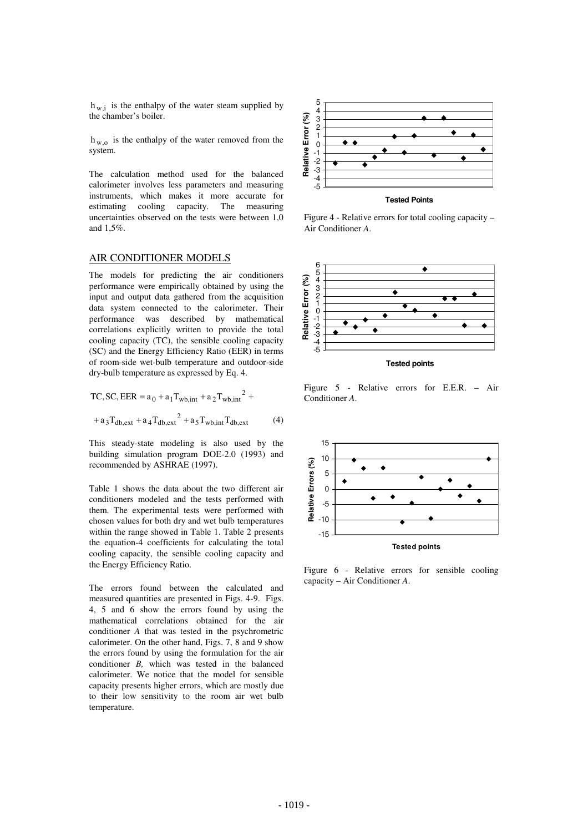$h_{w,i}$  is the enthalpy of the water steam supplied by the chamber's boiler.

 $h_{w,o}$  is the enthalpy of the water removed from the system.

The calculation method used for the balanced calorimeter involves less parameters and measuring instruments, which makes it more accurate for estimating cooling capacity. The measuring uncertainties observed on the tests were between 1,0 and 1,5%.

## AIR CONDITIONER MODELS

The models for predicting the air conditioners performance were empirically obtained by using the input and output data gathered from the acquisition data system connected to the calorimeter. Their performance was described by mathematical correlations explicitly written to provide the total cooling capacity (TC), the sensible cooling capacity (SC) and the Energy Efficiency Ratio (EER) in terms of room-side wet-bulb temperature and outdoor-side dry-bulb temperature as expressed by Eq. 4.

TC, SC, EER = 
$$
a_0 + a_1 T_{wb,int} + a_2 T_{wb,int}^2 +
$$
  
+  $a_3 T_{db,ext} + a_4 T_{db,ext}^2 + a_5 T_{wb,int} T_{db,ext}$  (4)

This steady-state modeling is also used by the building simulation program DOE-2.0 (1993) and recommended by ASHRAE (1997).

Table 1 shows the data about the two different air conditioners modeled and the tests performed with them. The experimental tests were performed with chosen values for both dry and wet bulb temperatures within the range showed in Table 1. Table 2 presents the equation-4 coefficients for calculating the total cooling capacity, the sensible cooling capacity and the Energy Efficiency Ratio.

The errors found between the calculated and measured quantities are presented in Figs. 4-9. Figs. 4, 5 and 6 show the errors found by using the mathematical correlations obtained for the air conditioner *A* that was tested in the psychrometric calorimeter. On the other hand, Figs. 7, 8 and 9 show the errors found by using the formulation for the air conditioner *B,* which was tested in the balanced calorimeter. We notice that the model for sensible capacity presents higher errors, which are mostly due to their low sensitivity to the room air wet bulb temperature.



Figure 4 - Relative errors for total cooling capacity – Air Conditioner *A*.



Figure 5 - Relative errors for E.E.R. – Air Conditioner *A*.



Figure 6 - Relative errors for sensible cooling capacity – Air Conditioner *A*.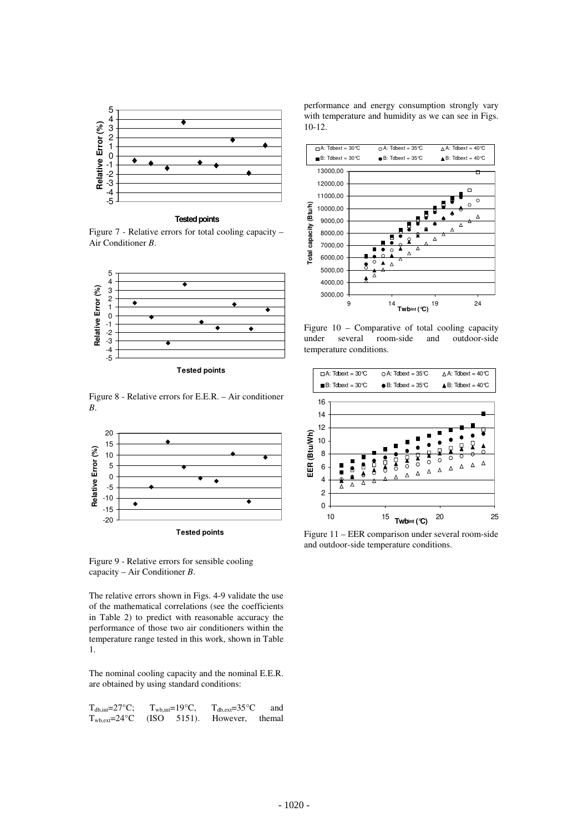

**Tested points**

Figure 7 - Relative errors for total cooling capacity – Air Conditioner *B*.



Figure 8 - Relative errors for E.E.R. – Air conditioner *B*.



Figure 9 - Relative errors for sensible cooling capacity – Air Conditioner *B*.

The relative errors shown in Figs. 4-9 validate the use of the mathematical correlations (see the coefficients in Table 2) to predict with reasonable accuracy the performance of those two air conditioners within the temperature range tested in this work, shown in Table 1.

The nominal cooling capacity and the nominal E.E.R. are obtained by using standard conditions:

| $T_{db,int} = 27^{\circ}C$ ;                                         | $T_{wh.int} = 19^{\circ}C$ , | $T_{\text{db. ext}} = 35^{\circ}C$ | and |
|----------------------------------------------------------------------|------------------------------|------------------------------------|-----|
| $T_{\text{wb,ext}} = 24^{\circ}\text{C}$ (ISO 5151). However, themal |                              |                                    |     |

performance and energy consumption strongly vary with temperature and humidity as we can see in Figs. 10-12.



Figure 10 – Comparative of total cooling capacity under several room-side and outdoor-side temperature conditions.



Figure 11 – EER comparison under several room-side and outdoor-side temperature conditions.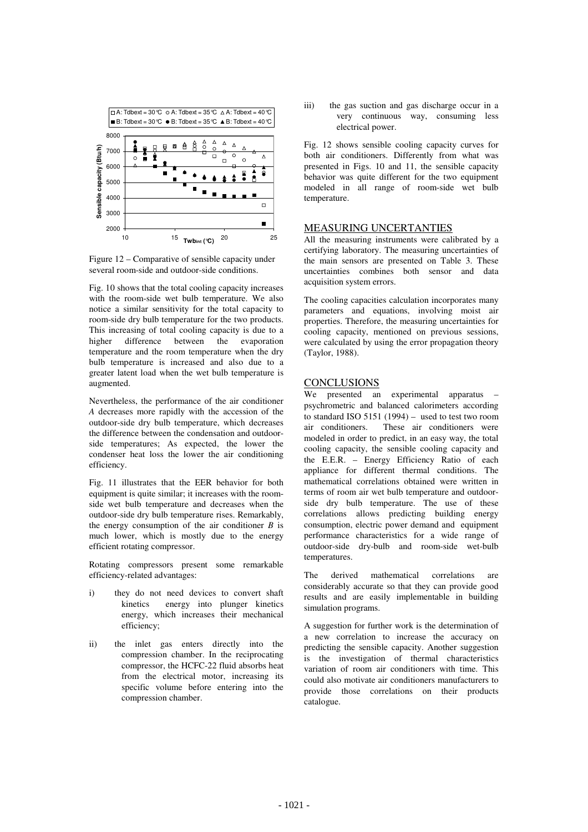

Figure 12 – Comparative of sensible capacity under several room-side and outdoor-side conditions.

Fig. 10 shows that the total cooling capacity increases with the room-side wet bulb temperature. We also notice a similar sensitivity for the total capacity to room-side dry bulb temperature for the two products. This increasing of total cooling capacity is due to a higher difference between the evaporation difference between the evaporation temperature and the room temperature when the dry bulb temperature is increased and also due to a greater latent load when the wet bulb temperature is augmented.

Nevertheless, the performance of the air conditioner *A* decreases more rapidly with the accession of the outdoor-side dry bulb temperature, which decreases the difference between the condensation and outdoorside temperatures; As expected, the lower the condenser heat loss the lower the air conditioning efficiency.

Fig. 11 illustrates that the EER behavior for both equipment is quite similar; it increases with the roomside wet bulb temperature and decreases when the outdoor-side dry bulb temperature rises. Remarkably, the energy consumption of the air conditioner *B* is much lower, which is mostly due to the energy efficient rotating compressor.

Rotating compressors present some remarkable efficiency-related advantages:

- i) they do not need devices to convert shaft kinetics energy into plunger kinetics energy, which increases their mechanical efficiency;
- ii) the inlet gas enters directly into the compression chamber. In the reciprocating compressor, the HCFC-22 fluid absorbs heat from the electrical motor, increasing its specific volume before entering into the compression chamber.

iii) the gas suction and gas discharge occur in a very continuous way, consuming less electrical power.

Fig. 12 shows sensible cooling capacity curves for both air conditioners. Differently from what was presented in Figs. 10 and 11, the sensible capacity behavior was quite different for the two equipment modeled in all range of room-side wet bulb temperature.

## MEASURING UNCERTANTIES

All the measuring instruments were calibrated by a certifying laboratory. The measuring uncertainties of the main sensors are presented on Table 3. These uncertainties combines both sensor and data acquisition system errors.

The cooling capacities calculation incorporates many parameters and equations, involving moist air properties. Therefore, the measuring uncertainties for cooling capacity, mentioned on previous sessions, were calculated by using the error propagation theory (Taylor, 1988).

### **CONCLUSIONS**

We presented an experimental apparatus – psychrometric and balanced calorimeters according to standard ISO 5151 (1994) – used to test two room<br>air conditioners. These air conditioners were These air conditioners were modeled in order to predict, in an easy way, the total cooling capacity, the sensible cooling capacity and the E.E.R. – Energy Efficiency Ratio of each appliance for different thermal conditions. The mathematical correlations obtained were written in terms of room air wet bulb temperature and outdoorside dry bulb temperature. The use of these correlations allows predicting building energy consumption, electric power demand and equipment performance characteristics for a wide range of outdoor-side dry-bulb and room-side wet-bulb temperatures.

The derived mathematical correlations are considerably accurate so that they can provide good results and are easily implementable in building simulation programs.

A suggestion for further work is the determination of a new correlation to increase the accuracy on predicting the sensible capacity. Another suggestion is the investigation of thermal characteristics variation of room air conditioners with time. This could also motivate air conditioners manufacturers to provide those correlations on their products catalogue.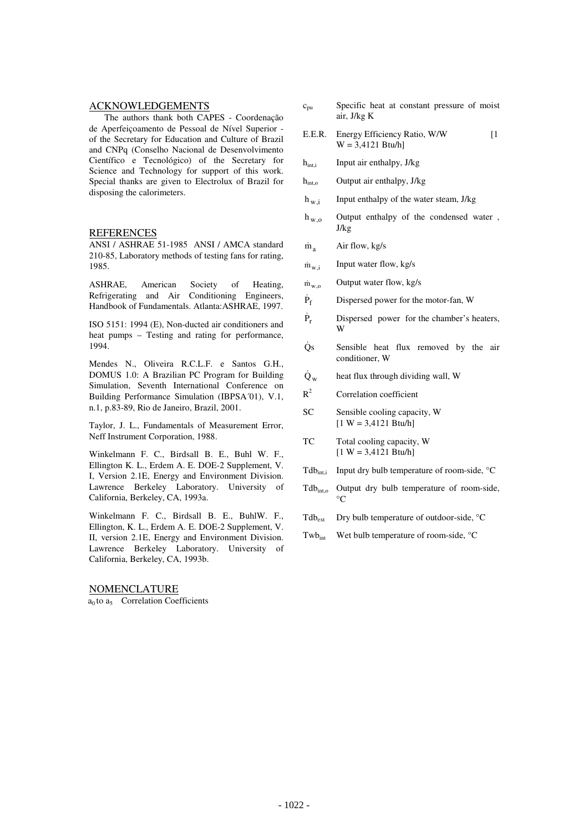## ACKNOWLEDGEMENTS

The authors thank both CAPES - Coordenação de Aperfeiçoamento de Pessoal de Nível Superior of the Secretary for Education and Culture of Brazil and CNPq (Conselho Nacional de Desenvolvimento Científico e Tecnológico) of the Secretary for Science and Technology for support of this work. Special thanks are given to Electrolux of Brazil for disposing the calorimeters.

#### **REFERENCES**

ANSI / ASHRAE 51-1985 ANSI / AMCA standard 210-85, Laboratory methods of testing fans for rating, 1985.

ASHRAE, American Society of Heating, Refrigerating and Air Conditioning Engineers, Handbook of Fundamentals. Atlanta:ASHRAE, 1997.

ISO 5151: 1994 (E), Non-ducted air conditioners and heat pumps – Testing and rating for performance, 1994.

Mendes N., Oliveira R.C.L.F. e Santos G.H., DOMUS 1.0: A Brazilian PC Program for Building Simulation, Seventh International Conference on Building Performance Simulation (IBPSA´01), V.1, n.1, p.83-89, Rio de Janeiro, Brazil, 2001.

Taylor, J. L., Fundamentals of Measurement Error, Neff Instrument Corporation, 1988.

Winkelmann F. C., Birdsall B. E., Buhl W. F., Ellington K. L., Erdem A. E. DOE-2 Supplement, V. I, Version 2.1E, Energy and Environment Division. Lawrence Berkeley Laboratory. University of California, Berkeley, CA, 1993a.

Winkelmann F. C., Birdsall B. E., BuhlW. F., Ellington, K. L., Erdem A. E. DOE-2 Supplement, V. II, version 2.1E, Energy and Environment Division. Lawrence Berkeley Laboratory. University of California, Berkeley, CA, 1993b.

NOMENCLATURE

 $a<sub>0</sub>$  to  $a<sub>5</sub>$  Correlation Coefficients

- $c_{pu}$  Specific heat at constant pressure of moist air, J/kg K
- E.E.R. Energy Efficiency Ratio, W/W [1]  $W = 3.4121$  Btu/h
- h<sub>int,i</sub> Input air enthalpy, J/kg
- h<sub>int.o</sub> Output air enthalpy, J/kg
- $h_{\rm w,i}$  Input enthalpy of the water steam, J/kg
- $h_{w}$  Output enthalpy of the condensed water , J/kg
- $\dot{m}_a$  Air flow, kg/s
- $\dot{m}_{w,i}$  Input water flow, kg/s
- $m_{w}$ <sup>o</sup> Output water flow, kg/s
- $\dot{P}_f$ Dispersed power for the motor-fan, W
- $\dot{P}_r$  Dispersed power for the chamber's heaters, W
- Qs Sensible heat flux removed by the air conditioner, W
- $\dot{Q}_w$  heat flux through dividing wall, W
- $R^2$  Correlation coefficient
- SC Sensible cooling capacity, W  $[1 W = 3,4121 Btu/h]$
- TC Total cooling capacity, W  $[1 W = 3.4121 B$ tu/hl
- Tdb<sub>int,i</sub> Input dry bulb temperature of room-side,  $°C$
- Tdbint,o Output dry bulb temperature of room-side,  $\rm ^{\circ}C$
- $Tdb_{ext}$  Dry bulb temperature of outdoor-side,  $°C$
- Twb<sub>int</sub> Wet bulb temperature of room-side, °C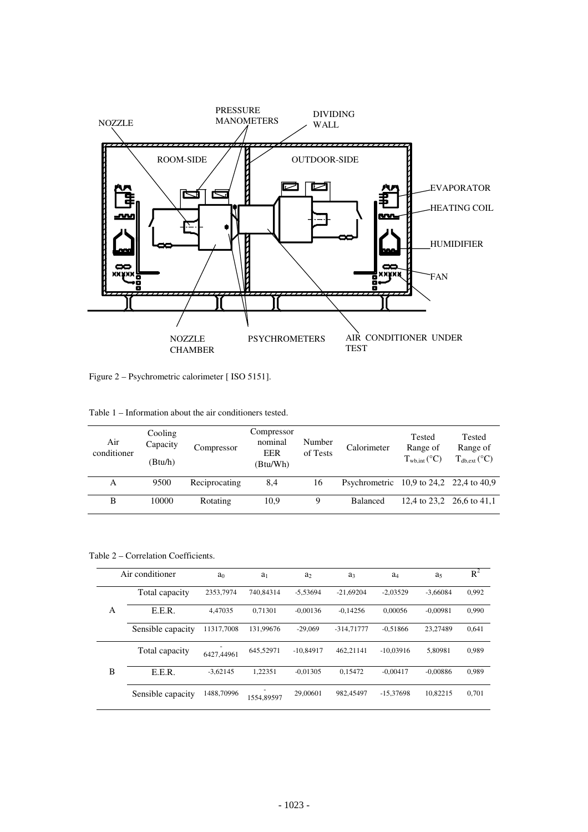

Figure 2 – Psychrometric calorimeter [ ISO 5151].

| Air<br>conditioner | Cooling<br>Capacity<br>(Btu/h) | Compressor    | Compressor<br>nominal<br><b>EER</b><br>(Btu/Wh) | Number<br>of Tests | Calorimeter                             | Tested<br>Range of<br>$T_{\text{wb.int}}$ (°C) | Tested<br>Range of<br>$T_{db,ext}$ (°C) |
|--------------------|--------------------------------|---------------|-------------------------------------------------|--------------------|-----------------------------------------|------------------------------------------------|-----------------------------------------|
| А                  | 9500                           | Reciprocating | 8,4                                             | 16                 | Psychrometric 10,9 to 24,2 22,4 to 40,9 |                                                |                                         |
| B                  | 10000                          | Rotating      | 10.9                                            | 9                  | <b>Balanced</b>                         | 12,4 to 23,2 26,6 to 41,1                      |                                         |

Table 2 – Correlation Coefficients.

|   | Air conditioner   | a <sub>0</sub> | a <sub>1</sub> | a <sub>2</sub> | a <sub>3</sub> | a <sub>4</sub> | a <sub>5</sub> | $R^2$ |
|---|-------------------|----------------|----------------|----------------|----------------|----------------|----------------|-------|
|   | Total capacity    | 2353,7974      | 740,84314      | $-5.53694$     | $-21.69204$    | $-2.03529$     | $-3.66084$     | 0,992 |
| A | E.E.R.            | 4.47035        | 0.71301        | $-0.00136$     | $-0.14256$     | 0.00056        | $-0.00981$     | 0,990 |
|   | Sensible capacity | 11317.7008     | 131,99676      | $-29,069$      | $-314,71777$   | $-0.51866$     | 23.27489       | 0.641 |
|   | Total capacity    | 6427.44961     | 645.52971      | $-10,84917$    | 462.21141      | $-10,03916$    | 5.80981        | 0.989 |
| B | E.E.R.            | $-3.62145$     | 1.22351        | $-0.01305$     | 0.15472        | $-0.00417$     | $-0.00886$     | 0.989 |
|   | Sensible capacity | 1488,70996     | 1554.89597     | 29,00601       | 982.45497      | $-15,37698$    | 10,82215       | 0,701 |